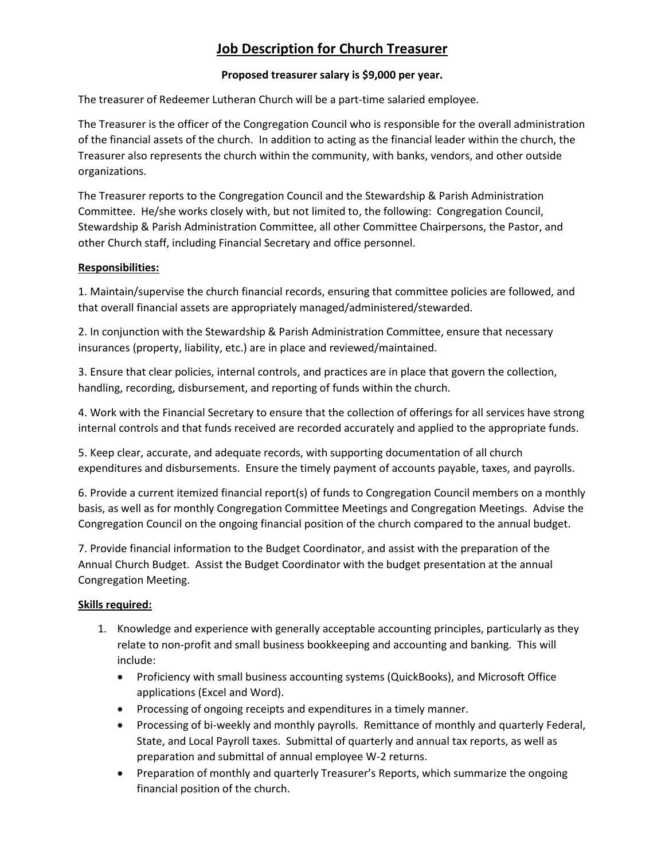# **Job Description for Church Treasurer**

# **Proposed treasurer salary is \$9,000 per year.**

The treasurer of Redeemer Lutheran Church will be a part-time salaried employee.

The Treasurer is the officer of the Congregation Council who is responsible for the overall administration of the financial assets of the church. In addition to acting as the financial leader within the church, the Treasurer also represents the church within the community, with banks, vendors, and other outside organizations.

The Treasurer reports to the Congregation Council and the Stewardship & Parish Administration Committee. He/she works closely with, but not limited to, the following: Congregation Council, Stewardship & Parish Administration Committee, all other Committee Chairpersons, the Pastor, and other Church staff, including Financial Secretary and office personnel.

# **Responsibilities:**

1. Maintain/supervise the church financial records, ensuring that committee policies are followed, and that overall financial assets are appropriately managed/administered/stewarded.

2. In conjunction with the Stewardship & Parish Administration Committee, ensure that necessary insurances (property, liability, etc.) are in place and reviewed/maintained.

3. Ensure that clear policies, internal controls, and practices are in place that govern the collection, handling, recording, disbursement, and reporting of funds within the church.

4. Work with the Financial Secretary to ensure that the collection of offerings for all services have strong internal controls and that funds received are recorded accurately and applied to the appropriate funds.

5. Keep clear, accurate, and adequate records, with supporting documentation of all church expenditures and disbursements. Ensure the timely payment of accounts payable, taxes, and payrolls.

6. Provide a current itemized financial report(s) of funds to Congregation Council members on a monthly basis, as well as for monthly Congregation Committee Meetings and Congregation Meetings. Advise the Congregation Council on the ongoing financial position of the church compared to the annual budget.

7. Provide financial information to the Budget Coordinator, and assist with the preparation of the Annual Church Budget. Assist the Budget Coordinator with the budget presentation at the annual Congregation Meeting.

# **Skills required:**

- 1. Knowledge and experience with generally acceptable accounting principles, particularly as they relate to non-profit and small business bookkeeping and accounting and banking. This will include:
	- Proficiency with small business accounting systems (QuickBooks), and Microsoft Office applications (Excel and Word).
	- Processing of ongoing receipts and expenditures in a timely manner.
	- Processing of bi-weekly and monthly payrolls. Remittance of monthly and quarterly Federal, State, and Local Payroll taxes. Submittal of quarterly and annual tax reports, as well as preparation and submittal of annual employee W-2 returns.
	- Preparation of monthly and quarterly Treasurer's Reports, which summarize the ongoing financial position of the church.